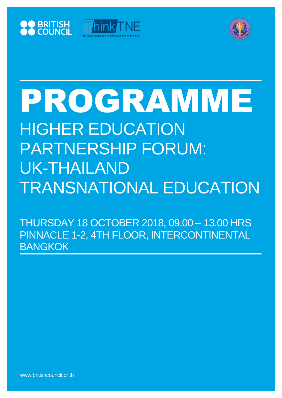





# PROGRAMME HIGHER EDUCATION PARTNERSHIP FORUM: UK-THAILAND TRANSNATIONAL EDUCATION

THURSDAY 18 OCTOBER 2018, 09.00 – 13.00 HRS PINNACLE 1-2, 4TH FLOOR, INTERCONTINENTAL BANGKOK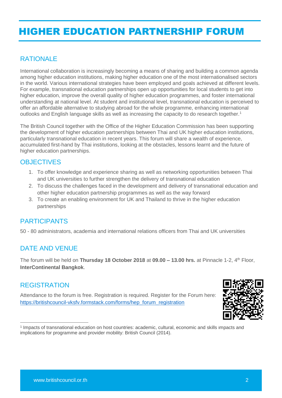## HIGHER EDUCATION PARTNERSHIP FORUM

#### **RATIONALE**

International collaboration is increasingly becoming a means of sharing and building a common agenda among higher education institutions, making higher education one of the most internationalised sectors in the world. Various international strategies have been employed and goals achieved at different levels. For example, transnational education partnerships open up opportunities for local students to get into higher education, improve the overall quality of higher education programmes, and foster international understanding at national level. At student and institutional level, transnational education is perceived to offer an affordable alternative to studying abroad for the whole programme, enhancing international outlooks and English language skills as well as increasing the capacity to do research together.<sup>1</sup>

The British Council together with the Office of the Higher Education Commission has been supporting the development of higher education partnerships between Thai and UK higher education institutions, particularly transnational education in recent years. This forum will share a wealth of experience, accumulated first-hand by Thai institutions, looking at the obstacles, lessons learnt and the future of higher education partnerships.

#### **OBJECTIVES**

- 1. To offer knowledge and experience sharing as well as networking opportunities between Thai and UK universities to further strengthen the delivery of transnational education
- 2. To discuss the challenges faced in the development and delivery of transnational education and other higher education partnership programmes as well as the way forward
- 3. To create an enabling environment for UK and Thailand to thrive in the higher education partnerships

#### PARTICIPANTS

50 - 80 administrators, academia and international relations officers from Thai and UK universities

#### DATE AND VENUE

The forum will be held on **Thursday 18 October 2018** at **09.00 – 13.00 hrs.** at Pinnacle 1-2, 4th Floor, **InterContinental Bangkok**.

#### **REGISTRATION**

Attendance to the forum is free. Registration is required. Register for the Forum here: [https://britishcouncil-vksfv.formstack.com/forms/hep\\_forum\\_registration](https://britishcouncil-vksfv.formstack.com/forms/hep_forum_registration)



 $\overline{a}$ 1 Impacts of transnational education on host countries: academic, cultural, economic and skills impacts and implications for programme and provider mobility: British Council (2014).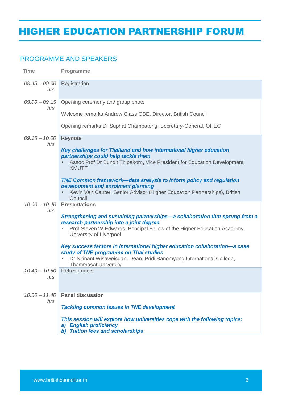## HIGHER EDUCATION PARTNERSHIP FORUM

#### PROGRAMME AND SPEAKERS

| <b>Time</b>             | Programme                                                                                                                                                                                                                       |
|-------------------------|---------------------------------------------------------------------------------------------------------------------------------------------------------------------------------------------------------------------------------|
| $08.45 - 09.00$<br>hrs. | Registration                                                                                                                                                                                                                    |
| $09.00 - 09.15$<br>hrs. | Opening ceremony and group photo                                                                                                                                                                                                |
|                         | Welcome remarks Andrew Glass OBE, Director, British Council                                                                                                                                                                     |
|                         | Opening remarks Dr Suphat Champatong, Secretary-General, OHEC                                                                                                                                                                   |
| $09.15 - 10.00$<br>hrs. | <b>Keynote</b>                                                                                                                                                                                                                  |
|                         | Key challenges for Thailand and how international higher education<br>partnerships could help tackle them                                                                                                                       |
|                         | Assoc Prof Dr Bundit Thipakorn, Vice President for Education Development,<br><b>KMUTT</b>                                                                                                                                       |
|                         | <b>TNE Common framework-data analysis to inform policy and regulation</b><br>development and enrolment planning<br>Kevin Van Cauter, Senior Advisor (Higher Education Partnerships), British<br>Council                         |
| $10.00 - 10.40$<br>hrs. | <b>Presentations</b>                                                                                                                                                                                                            |
|                         | Strengthening and sustaining partnerships—a collaboration that sprung from a<br>research partnership into a joint degree<br>Prof Steven W Edwards, Principal Fellow of the Higher Education Academy,<br>University of Liverpool |
|                         | Key success factors in international higher education collaboration-a case<br>study of TNE programme on Thai studies                                                                                                            |
|                         | Dr Nitinant Wisaweisuan, Dean, Pridi Banomyong International College,<br><b>Thammasat University</b>                                                                                                                            |
| $10.40 - 10.50$<br>hrs. | Refreshments                                                                                                                                                                                                                    |
| $10.50 - 11.40$<br>hrs. | <b>Panel discussion</b>                                                                                                                                                                                                         |
|                         | <b>Tackling common issues in TNE development</b>                                                                                                                                                                                |
|                         | This session will explore how universities cope with the following topics:<br>a) English proficiency<br>b) Tuition fees and scholarships                                                                                        |